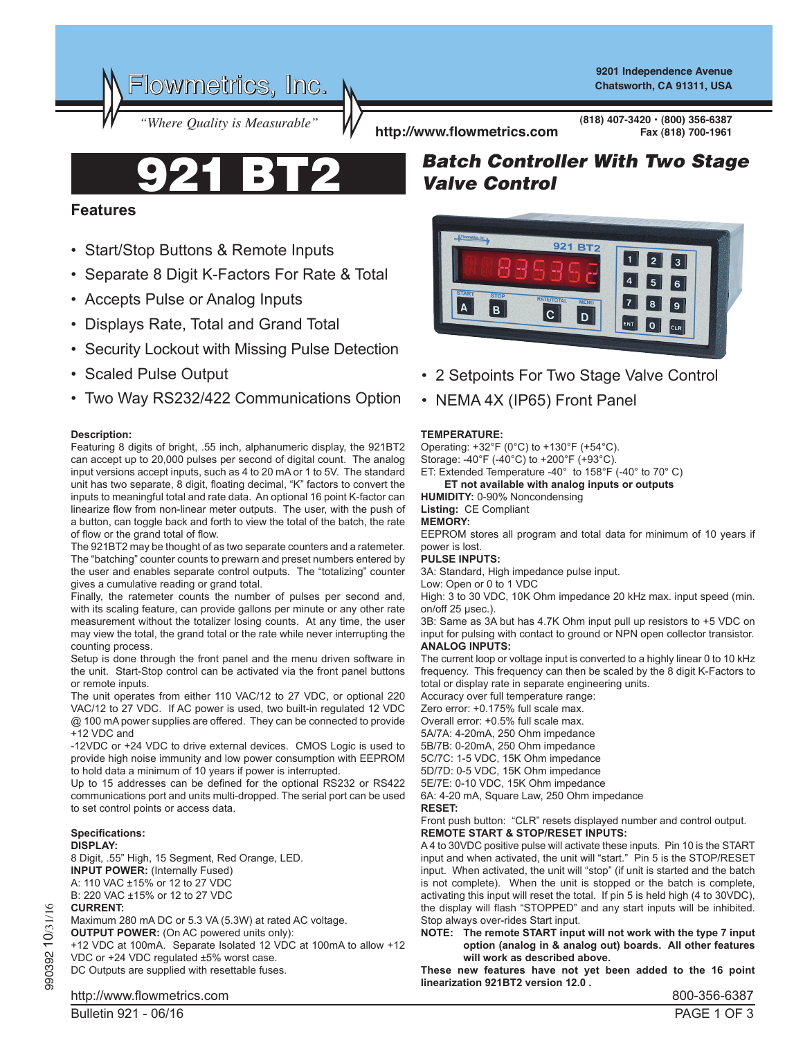Flowmetrics, Inc.

**9201 Independence Avenue Chatsworth, CA 91311, USA**

*"Where Quality is Measurable"* **http://www.flowmetrics.com**

921 BT2

• Start/Stop Buttons & Remote Inputs

• Displays Rate, Total and Grand Total

• Accepts Pulse or Analog Inputs

• Scaled Pulse Output

• Separate 8 Digit K-Factors For Rate & Total

• Security Lockout with Missing Pulse Detection

**(818) 407-3420 • (800) 356-6387 Fax (818) 700-1961**

# *Batch Controller With Two Stage Valve Control*



- 2 Setpoints For Two Stage Valve Control
- NEMA 4X (IP65) Front Panel

# **TEMPERATURE:**

Operating: +32°F (0°C) to +130°F (+54°C). Storage: -40°F (-40°C) to +200°F (+93°C). ET: Extended Temperature -40° to 158°F (-40° to 70° C)

### **ET not available with analog inputs or outputs**

**HUMIDITY:** 0-90% Noncondensing

**Listing:** CE Compliant

# **MEMORY:**

EEPROM stores all program and total data for minimum of 10 years if power is lost.

# **PULSE INPUTS:**

3A: Standard, High impedance pulse input.

Low: Open or 0 to 1 VDC

High: 3 to 30 VDC, 10K Ohm impedance 20 kHz max. input speed (min. on/off 25 µsec.).

3B: Same as 3A but has 4.7K Ohm input pull up resistors to +5 VDC on input for pulsing with contact to ground or NPN open collector transistor. **ANALOG INPUTS:**

The current loop or voltage input is converted to a highly linear 0 to 10 kHz frequency. This frequency can then be scaled by the 8 digit K-Factors to total or display rate in separate engineering units.

Accuracy over full temperature range: Zero error: +0.175% full scale max. Overall error: +0.5% full scale max. 5A/7A: 4-20mA, 250 Ohm impedance 5B/7B: 0-20mA, 250 Ohm impedance 5C/7C: 1-5 VDC, 15K Ohm impedance 5D/7D: 0-5 VDC, 15K Ohm impedance 5E/7E: 0-10 VDC, 15K Ohm impedance 6A: 4-20 mA, Square Law, 250 Ohm impedance **RESET:**

Front push button: "CLR" resets displayed number and control output. **REMOTE START & STOP/RESET INPUTS:**

A 4 to 30VDC positive pulse will activate these inputs. Pin 10 is the START input and when activated, the unit will "start." Pin 5 is the STOP/RESET input. When activated, the unit will "stop" (if unit is started and the batch is not complete). When the unit is stopped or the batch is complete, activating this input will reset the total. If pin 5 is held high (4 to 30VDC), the display will flash "STOPPED" and any start inputs will be inhibited. Stop always over-rides Start input.

**NOTE: The remote START input will not work with the type 7 input option (analog in & analog out) boards. All other features will work as described above.**

**These new features have not yet been added to the 16 point linearization 921BT2 version 12.0 .** 

• Two Way RS232/422 Communications Option

### **Description:**

**Features**

Featuring 8 digits of bright, .55 inch, alphanumeric display, the 921BT2 can accept up to 20,000 pulses per second of digital count. The analog input versions accept inputs, such as 4 to 20 mA or 1 to 5V. The standard unit has two separate, 8 digit, floating decimal, "K" factors to convert the inputs to meaningful total and rate data. An optional 16 point K-factor can linearize flow from non-linear meter outputs. The user, with the push of a button, can toggle back and forth to view the total of the batch, the rate of flow or the grand total of flow.

The 921BT2 may be thought of as two separate counters and a ratemeter. The "batching" counter counts to prewarn and preset numbers entered by the user and enables separate control outputs. The "totalizing" counter gives a cumulative reading or grand total.

Finally, the ratemeter counts the number of pulses per second and, with its scaling feature, can provide gallons per minute or any other rate measurement without the totalizer losing counts. At any time, the user may view the total, the grand total or the rate while never interrupting the counting process.

Setup is done through the front panel and the menu driven software in the unit. Start-Stop control can be activated via the front panel buttons or remote inputs.

The unit operates from either 110 VAC/12 to 27 VDC, or optional 220 VAC/12 to 27 VDC. If AC power is used, two built-in regulated 12 VDC @ 100 mA power supplies are offered. They can be connected to provide +12 VDC and

-12VDC or +24 VDC to drive external devices. CMOS Logic is used to provide high noise immunity and low power consumption with EEPROM to hold data a minimum of 10 years if power is interrupted.

Up to 15 addresses can be defined for the optional RS232 or RS422 communications port and units multi-dropped. The serial port can be used to set control points or access data.

#### **Specifications: DISPLAY:**

8 Digit, .55" High, 15 Segment, Red Orange, LED. **INPUT POWER:** (Internally Fused) A: 110 VAC ±15% or 12 to 27 VDC B: 220 VAC ±15% or 12 to 27 VDC **CURRENT:**

Maximum 280 mA DC or 5.3 VA (5.3W) at rated AC voltage.

**OUTPUT POWER:** (On AC powered units only):

+12 VDC at 100mA. Separate Isolated 12 VDC at 100mA to allow +12 VDC or +24 VDC regulated ±5% worst case.

DC Outputs are supplied with resettable fuses.

990392 10/31/16

990392 10/31/16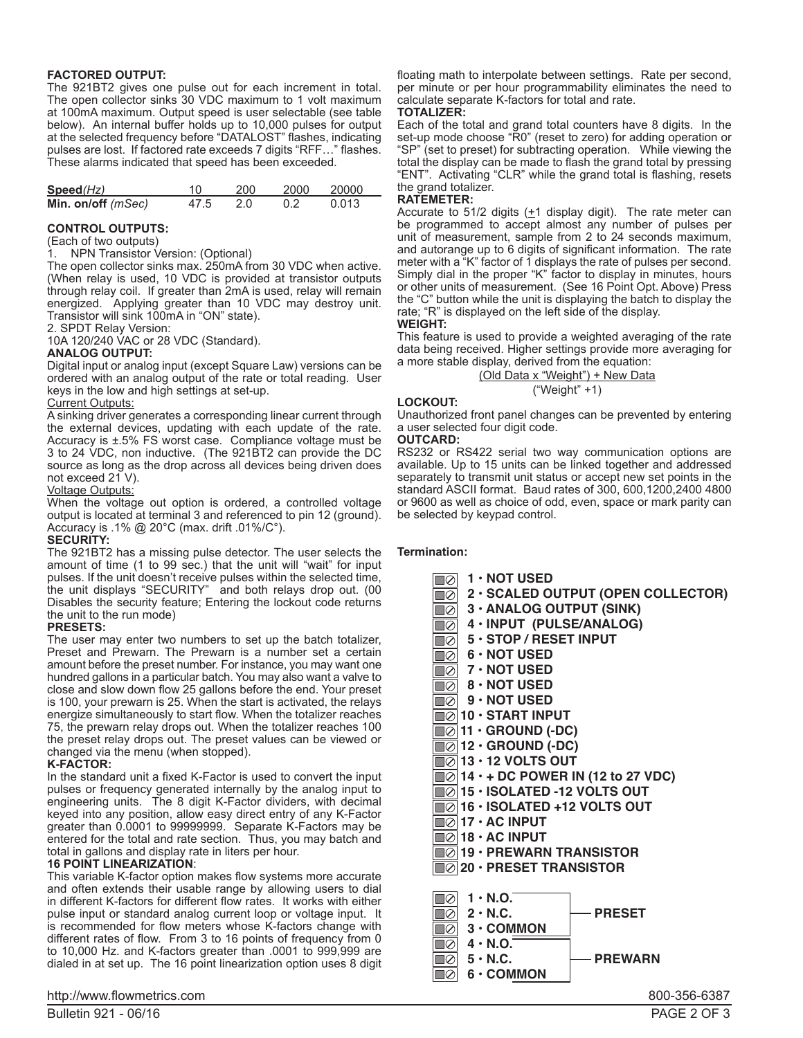#### **FACTORED OUTPUT:**

The 921BT2 gives one pulse out for each increment in total. The open collector sinks 30 VDC maximum to 1 volt maximum at 100mA maximum. Output speed is user selectable (see table below). An internal buffer holds up to 10,000 pulses for output at the selected frequency before "DATALOST" flashes, indicating pulses are lost. If factored rate exceeds 7 digits "RFF…" flashes. These alarms indicated that speed has been exceeded.

| Speed(Hz)                   | 10.      | 200 | 2000 20000 |       |  |
|-----------------------------|----------|-----|------------|-------|--|
| Min. on/off ( <i>mSec</i> ) | 47.5 2.0 |     | 0.2        | 0.013 |  |

#### **CONTROL OUTPUTS:**

(Each of two outputs)

1. NPN Transistor Version: (Optional)

The open collector sinks max. 250mA from 30 VDC when active. (When relay is used, 10 VDC is provided at transistor outputs through relay coil. If greater than 2mA is used, relay will remain energized. Applying greater than 10 VDC may destroy unit. Transistor will sink 100mA in "ON" state).

2. SPDT Relay Version:

10A 120/240 VAC or 28 VDC (Standard).

#### **ANALOG OUTPUT:**

Digital input or analog input (except Square Law) versions can be ordered with an analog output of the rate or total reading. User keys in the low and high settings at set-up.

#### **Current Outputs:**

A sinking driver generates a corresponding linear current through the external devices, updating with each update of the rate. Accuracy is ±.5% FS worst case. Compliance voltage must be 3 to 24 VDC, non inductive. (The 921BT2 can provide the DC source as long as the drop across all devices being driven does not exceed 21 V).

#### Voltage Outputs:

When the voltage out option is ordered, a controlled voltage output is located at terminal 3 and referenced to pin 12 (ground). Accuracy is .1%  $@$  20°C (max. drift .01%/C°).

### **SECURITY:**

The 921BT2 has a missing pulse detector. The user selects the amount of time (1 to 99 sec.) that the unit will "wait" for input pulses. If the unit doesn't receive pulses within the selected time, the unit displays "SECURITY" and both relays drop out. (00 Disables the security feature; Entering the lockout code returns the unit to the run mode)

#### **PRESETS:**

The user may enter two numbers to set up the batch totalizer, Preset and Prewarn. The Prewarn is a number set a certain amount before the preset number. For instance, you may want one hundred gallons in a particular batch. You may also want a valve to close and slow down flow 25 gallons before the end. Your preset is 100, your prewarn is 25. When the start is activated, the relays energize simultaneously to start flow. When the totalizer reaches 75, the prewarn relay drops out. When the totalizer reaches 100 the preset relay drops out. The preset values can be viewed or changed via the menu (when stopped).

#### **K-FACTOR:**

In the standard unit a fixed K-Factor is used to convert the input pulses or frequency generated internally by the analog input to engineering units. The 8 digit K-Factor dividers, with decimal keyed into any position, allow easy direct entry of any K-Factor greater than 0.0001 to 99999999. Separate K-Factors may be entered for the total and rate section. Thus, you may batch and total in gallons and display rate in liters per hour.

#### **16 POINT LINEARIZATION**:

This variable K-factor option makes flow systems more accurate and often extends their usable range by allowing users to dial in different K-factors for different flow rates. It works with either pulse input or standard analog current loop or voltage input. It is recommended for flow meters whose K-factors change with different rates of flow. From 3 to 16 points of frequency from 0 to 10,000 Hz. and K-factors greater than .0001 to 999,999 are dialed in at set up. The 16 point linearization option uses 8 digit

# http://www.flowmetrics.com and the settlement of the settlement of the settlement of the settlement of the set

floating math to interpolate between settings. Rate per second, per minute or per hour programmability eliminates the need to calculate separate K-factors for total and rate.

#### **TOTALIZER:**

Each of the total and grand total counters have 8 digits. In the set-up mode choose "R0" (reset to zero) for adding operation or "SP" (set to preset) for subtracting operation. While viewing the total the display can be made to flash the grand total by pressing "ENT". Activating "CLR" while the grand total is flashing, resets the grand totalizer.

#### **RATEMETER:**

Accurate to 51/2 digits  $(+1)$  display digit). The rate meter can be programmed to accept almost any number of pulses per unit of measurement, sample from 2 to 24 seconds maximum, and autorange up to 6 digits of significant information. The rate meter with a "K" factor of 1 displays the rate of pulses per second. Simply dial in the proper "K" factor to display in minutes, hours or other units of measurement. (See 16 Point Opt. Above) Press the "C" button while the unit is displaying the batch to display the rate; "R" is displayed on the left side of the display.

**WEIGHT:**

This feature is used to provide a weighted averaging of the rate data being received. Higher settings provide more averaging for a more stable display, derived from the equation:

#### (Old Data x "Weight") + New Data ("Weight" +1)

## **LOCKOUT:**

Unauthorized front panel changes can be prevented by entering a user selected four digit code.

### **OUTCARD:**

RS232 or RS422 serial two way communication options are available. Up to 15 units can be linked together and addressed separately to transmit unit status or accept new set points in the standard ASCII format. Baud rates of 300, 600,1200,2400 4800 or 9600 as well as choice of odd, even, space or mark parity can be selected by keypad control.

#### **Termination:**

| $\sqrt{2}$ 1 · NOT USED                                                                                     |
|-------------------------------------------------------------------------------------------------------------|
| $\overline{\textcolor{blue}{\mathbb{R}}\textcolor{blue}{\oslash}}$ 2 $\cdot$ SCALED OUTPUT (OPEN COLLECTOR) |
| $\overline{\textcircled{\circ}}$ 3 $\cdot$ ANALOG OUTPUT (SINK)                                             |
|                                                                                                             |
| $\overline{10}$ 4 · INPUT (PULSE/ANALOG)<br>$\overline{10}$ 5 · STOP / RESET INPUT                          |
| <b>10</b> 6 · NOT USED                                                                                      |
| $\sqrt{2}$ 7 · NOT USED                                                                                     |
| $\overline{10}$ 8 $\cdot$ NOT USED                                                                          |
| $\overline{\odot}$ 9 $\cdot$ NOT USED                                                                       |
| $\Box$ 10 · START INPUT                                                                                     |
| $\sqrt{\ket{\odot}}$ 11 · GROUND (-DC)                                                                      |
| $\sqrt{\ket{\odot}}$ 12 · GROUND (-DC)                                                                      |
| $\boxed{2}$ 13 $\cdot$ 12 VOLTS OUT                                                                         |
| $\sqrt{\ket{0}}$ 14 $\cdot$ + DC POWER IN (12 to 27 VDC)                                                    |
| $\sqrt{\ket{0}}$ 15 $\cdot$ ISOLATED -12 VOLTS OUT                                                          |
| $\textcolor{orange}{\blacksquare}\oslash\mid$ 16 • ISOLATED +12 VOLTS OUT                                   |
| $\  \oslash  $ 17 • AC INPUT                                                                                |
| $\textcolor{orange}{\textbf{\textcolor{blue}{\textbf{1}}\otimes}}$ 18 $\boldsymbol{\cdot}$ AC INPUT .       |
| $\Box$ 19 · PREWARN TRANSISTOR                                                                              |
| $\Box$ 20 · PRESET TRANSISTOR                                                                               |
|                                                                                                             |
| $\textcolor{blue}{\mathbb{Q}}\vert$ 1 $\cdot$ N.O. $\textcolor{blue}{\mathbb{Z}}$                           |
| $\mathbb{Q}$ 2 · N.C.<br>— PRESET                                                                           |
| $\ \emptyset\ $ 3 $\cdot$ COMMON                                                                            |
| $\textcolor{blue}{\blacksquare}\oslash \mid$ 4 $\cdot$ N.O. $\bar{\cdot}$                                   |
| $\mathbb{Q}$ 5 · N.C.<br><b>- PREWARN</b>                                                                   |
| ∎⊘∣ 6 • COMMON                                                                                              |
| ONN DER ROOT                                                                                                |